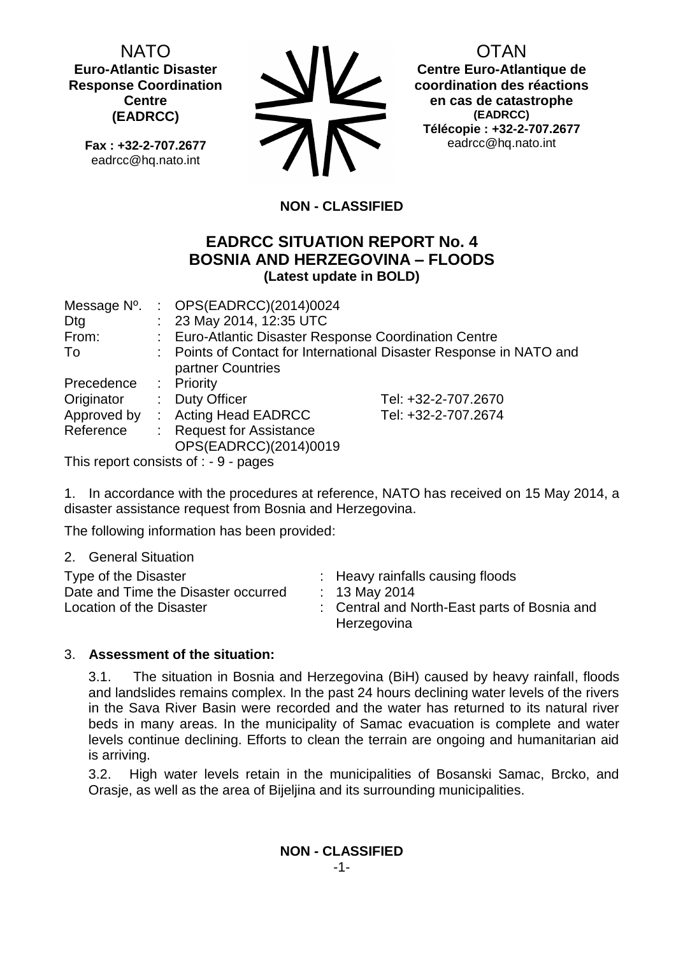NATO **Euro-Atlantic Disaster Response Coordination Centre (EADRCC)**

**Fax : +32-2-707.2677** eadrcc@hq.nato.int



OTAN

**Centre Euro-Atlantique de coordination des réactions en cas de catastrophe (EADRCC) Télécopie : +32-2-707.2677** eadrcc@hq.nato.int

# **NON - CLASSIFIED**

# **EADRCC SITUATION REPORT No. 4 BOSNIA AND HERZEGOVINA – FLOODS (Latest update in BOLD)**

| Message N°. | : $OPS(EADRCC)(2014)0024$                             |                                                                     |
|-------------|-------------------------------------------------------|---------------------------------------------------------------------|
| Dtg         | : 23 May 2014, 12:35 UTC                              |                                                                     |
| From:       | : Euro-Atlantic Disaster Response Coordination Centre |                                                                     |
| To          | partner Countries                                     | : Points of Contact for International Disaster Response in NATO and |
| Precedence  | : Priority                                            |                                                                     |
| Originator  | : Duty Officer                                        | Tel: +32-2-707.2670                                                 |
| Approved by | : Acting Head EADRCC                                  | Tel: +32-2-707.2674                                                 |
| Reference   | : Request for Assistance<br>OPS(EADRCC)(2014)0019     |                                                                     |

This report consists of : - 9 - pages

1. In accordance with the procedures at reference, NATO has received on 15 May 2014, a disaster assistance request from Bosnia and Herzegovina.

The following information has been provided:

2. General Situation

| Type of the Disaster<br>Date and Time the Disaster occurred<br>Location of the Disaster |  | : Heavy rainfalls causing floods<br>: 13 May 2014<br>: Central and North-East parts of Bosnia and<br>Herzegovina |
|-----------------------------------------------------------------------------------------|--|------------------------------------------------------------------------------------------------------------------|
|-----------------------------------------------------------------------------------------|--|------------------------------------------------------------------------------------------------------------------|

## 3. **Assessment of the situation:**

3.1. The situation in Bosnia and Herzegovina (BiH) caused by heavy rainfall, floods and landslides remains complex. In the past 24 hours declining water levels of the rivers in the Sava River Basin were recorded and the water has returned to its natural river beds in many areas. In the municipality of Samac evacuation is complete and water levels continue declining. Efforts to clean the terrain are ongoing and humanitarian aid is arriving.

3.2. High water levels retain in the municipalities of Bosanski Samac, Brcko, and Orasje, as well as the area of Bijeljina and its surrounding municipalities.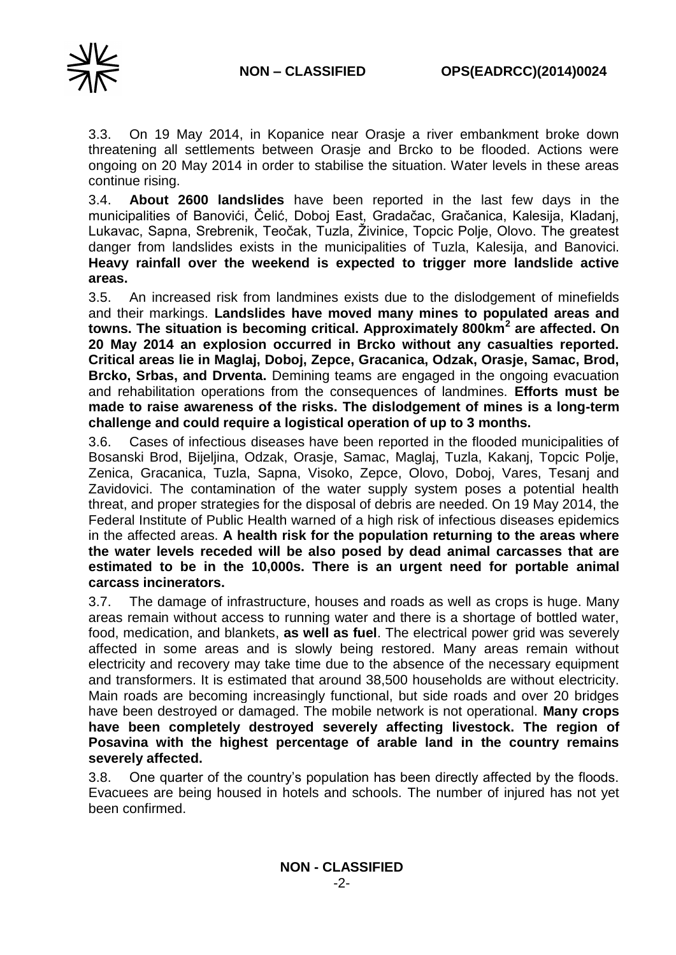

3.3. On 19 May 2014, in Kopanice near Orasje a river embankment broke down threatening all settlements between Orasje and Brcko to be flooded. Actions were ongoing on 20 May 2014 in order to stabilise the situation. Water levels in these areas continue rising.

3.4. **About 2600 landslides** have been reported in the last few days in the municipalities of Banovići, Čelić, Doboj East, Gradačac, Gračanica, Kalesija, Kladanj, Lukavac, Sapna, Srebrenik, Teočak, Tuzla, Živinice, Topcic Polje, Olovo. The greatest danger from landslides exists in the municipalities of Tuzla, Kalesija, and Banovici. **Heavy rainfall over the weekend is expected to trigger more landslide active areas.**

3.5. An increased risk from landmines exists due to the dislodgement of minefields and their markings. **Landslides have moved many mines to populated areas and towns. The situation is becoming critical. Approximately 800km<sup>2</sup> are affected. On 20 May 2014 an explosion occurred in Brcko without any casualties reported. Critical areas lie in Maglaj, Doboj, Zepce, Gracanica, Odzak, Orasje, Samac, Brod, Brcko, Srbas, and Drventa.** Demining teams are engaged in the ongoing evacuation and rehabilitation operations from the consequences of landmines. **Efforts must be made to raise awareness of the risks. The dislodgement of mines is a long-term challenge and could require a logistical operation of up to 3 months.**

3.6. Cases of infectious diseases have been reported in the flooded municipalities of Bosanski Brod, Bijeljina, Odzak, Orasje, Samac, Maglaj, Tuzla, Kakanj, Topcic Polje, Zenica, Gracanica, Tuzla, Sapna, Visoko, Zepce, Olovo, Doboj, Vares, Tesanj and Zavidovici. The contamination of the water supply system poses a potential health threat, and proper strategies for the disposal of debris are needed. On 19 May 2014, the Federal Institute of Public Health warned of a high risk of infectious diseases epidemics in the affected areas. **A health risk for the population returning to the areas where the water levels receded will be also posed by dead animal carcasses that are estimated to be in the 10,000s. There is an urgent need for portable animal carcass incinerators.**

3.7. The damage of infrastructure, houses and roads as well as crops is huge. Many areas remain without access to running water and there is a shortage of bottled water, food, medication, and blankets, **as well as fuel**. The electrical power grid was severely affected in some areas and is slowly being restored. Many areas remain without electricity and recovery may take time due to the absence of the necessary equipment and transformers. It is estimated that around 38,500 households are without electricity. Main roads are becoming increasingly functional, but side roads and over 20 bridges have been destroyed or damaged. The mobile network is not operational. **Many crops have been completely destroyed severely affecting livestock. The region of Posavina with the highest percentage of arable land in the country remains severely affected.**

3.8. One quarter of the country's population has been directly affected by the floods. Evacuees are being housed in hotels and schools. The number of injured has not yet been confirmed.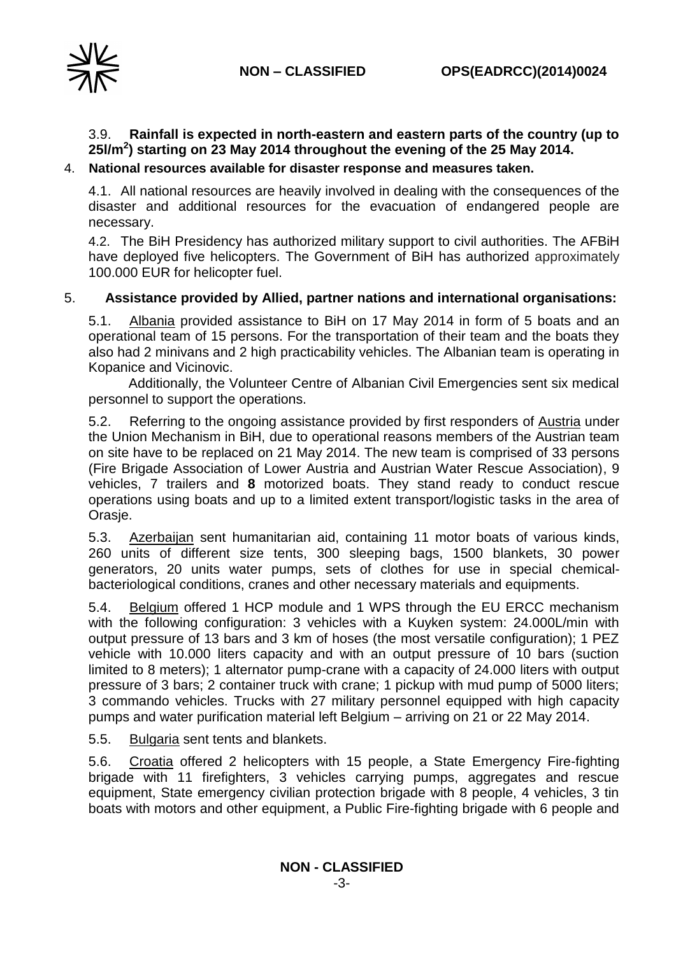

# 3.9. **Rainfall is expected in north-eastern and eastern parts of the country (up to 25l/m<sup>2</sup> ) starting on 23 May 2014 throughout the evening of the 25 May 2014.**

## 4. **National resources available for disaster response and measures taken.**

4.1. All national resources are heavily involved in dealing with the consequences of the disaster and additional resources for the evacuation of endangered people are necessary.

4.2. The BiH Presidency has authorized military support to civil authorities. The AFBiH have deployed five helicopters. The Government of BiH has authorized approximately 100.000 EUR for helicopter fuel.

## 5. **Assistance provided by Allied, partner nations and international organisations:**

5.1. Albania provided assistance to BiH on 17 May 2014 in form of 5 boats and an operational team of 15 persons. For the transportation of their team and the boats they also had 2 minivans and 2 high practicability vehicles. The Albanian team is operating in Kopanice and Vicinovic.

Additionally, the Volunteer Centre of Albanian Civil Emergencies sent six medical personnel to support the operations.

5.2. Referring to the ongoing assistance provided by first responders of Austria under the Union Mechanism in BiH, due to operational reasons members of the Austrian team on site have to be replaced on 21 May 2014. The new team is comprised of 33 persons (Fire Brigade Association of Lower Austria and Austrian Water Rescue Association), 9 vehicles, 7 trailers and **8** motorized boats. They stand ready to conduct rescue operations using boats and up to a limited extent transport/logistic tasks in the area of Orasje.

5.3. Azerbaijan sent humanitarian aid, containing 11 motor boats of various kinds, 260 units of different size tents, 300 sleeping bags, 1500 blankets, 30 power generators, 20 units water pumps, sets of clothes for use in special chemicalbacteriological conditions, cranes and other necessary materials and equipments.

5.4. Belgium offered 1 HCP module and 1 WPS through the EU ERCC mechanism with the following configuration: 3 vehicles with a Kuyken system: 24.000L/min with output pressure of 13 bars and 3 km of hoses (the most versatile configuration); 1 PEZ vehicle with 10.000 liters capacity and with an output pressure of 10 bars (suction limited to 8 meters); 1 alternator pump-crane with a capacity of 24.000 liters with output pressure of 3 bars; 2 container truck with crane; 1 pickup with mud pump of 5000 liters; 3 commando vehicles. Trucks with 27 military personnel equipped with high capacity pumps and water purification material left Belgium – arriving on 21 or 22 May 2014.

5.5. Bulgaria sent tents and blankets.

5.6. Croatia offered 2 helicopters with 15 people, a State Emergency Fire-fighting brigade with 11 firefighters, 3 vehicles carrying pumps, aggregates and rescue equipment, State emergency civilian protection brigade with 8 people, 4 vehicles, 3 tin boats with motors and other equipment, a Public Fire-fighting brigade with 6 people and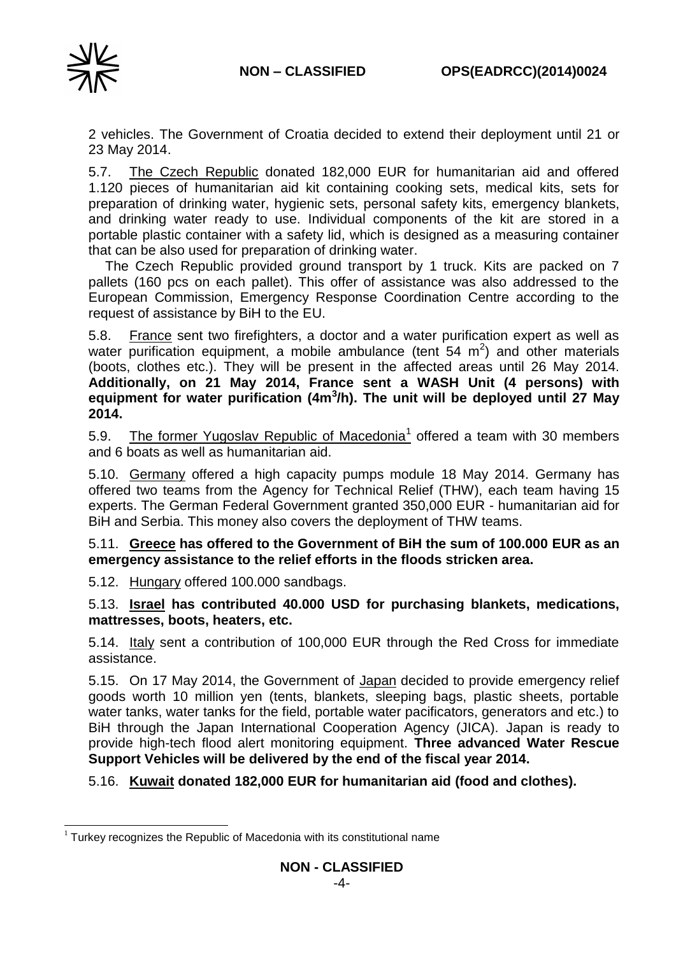

2 vehicles. The Government of Croatia decided to extend their deployment until 21 or 23 May 2014.

5.7. The Czech Republic donated 182,000 EUR for humanitarian aid and offered 1.120 pieces of humanitarian aid kit containing cooking sets, medical kits, sets for preparation of drinking water, hygienic sets, personal safety kits, emergency blankets, and drinking water ready to use. Individual components of the kit are stored in a portable plastic container with a safety lid, which is designed as a measuring container that can be also used for preparation of drinking water.

The Czech Republic provided ground transport by 1 truck. Kits are packed on 7 pallets (160 pcs on each pallet). This offer of assistance was also addressed to the European Commission, Emergency Response Coordination Centre according to the request of assistance by BiH to the EU.

5.8. France sent two firefighters, a doctor and a water purification expert as well as water purification equipment, a mobile ambulance (tent  $54 \, \text{m}^2$ ) and other materials (boots, clothes etc.). They will be present in the affected areas until 26 May 2014. **Additionally, on 21 May 2014, France sent a WASH Unit (4 persons) with**  equipment for water purification (4m<sup>3</sup>/h). The unit will be deployed until 27 May **2014.**

5.9. The former Yugoslav Republic of Macedonia<sup>1</sup> offered a team with 30 members and 6 boats as well as humanitarian aid.

5.10. Germany offered a high capacity pumps module 18 May 2014. Germany has offered two teams from the Agency for Technical Relief (THW), each team having 15 experts. The German Federal Government granted 350,000 EUR - humanitarian aid for BiH and Serbia. This money also covers the deployment of THW teams.

5.11. **Greece has offered to the Government of BiH the sum of 100.000 EUR as an emergency assistance to the relief efforts in the floods stricken area.**

5.12. Hungary offered 100.000 sandbags.

5.13. **Israel has contributed 40.000 USD for purchasing blankets, medications, mattresses, boots, heaters, etc.**

5.14. Italy sent a contribution of 100,000 EUR through the Red Cross for immediate assistance.

5.15. On 17 May 2014, the Government of Japan decided to provide emergency relief goods worth 10 million yen (tents, blankets, sleeping bags, plastic sheets, portable water tanks, water tanks for the field, portable water pacificators, generators and etc.) to BiH through the Japan International Cooperation Agency (JICA). Japan is ready to provide high-tech flood alert monitoring equipment. **Three advanced Water Rescue Support Vehicles will be delivered by the end of the fiscal year 2014.**

5.16. **Kuwait donated 182,000 EUR for humanitarian aid (food and clothes).**

<sup>-</sup> $1$  Turkey recognizes the Republic of Macedonia with its constitutional name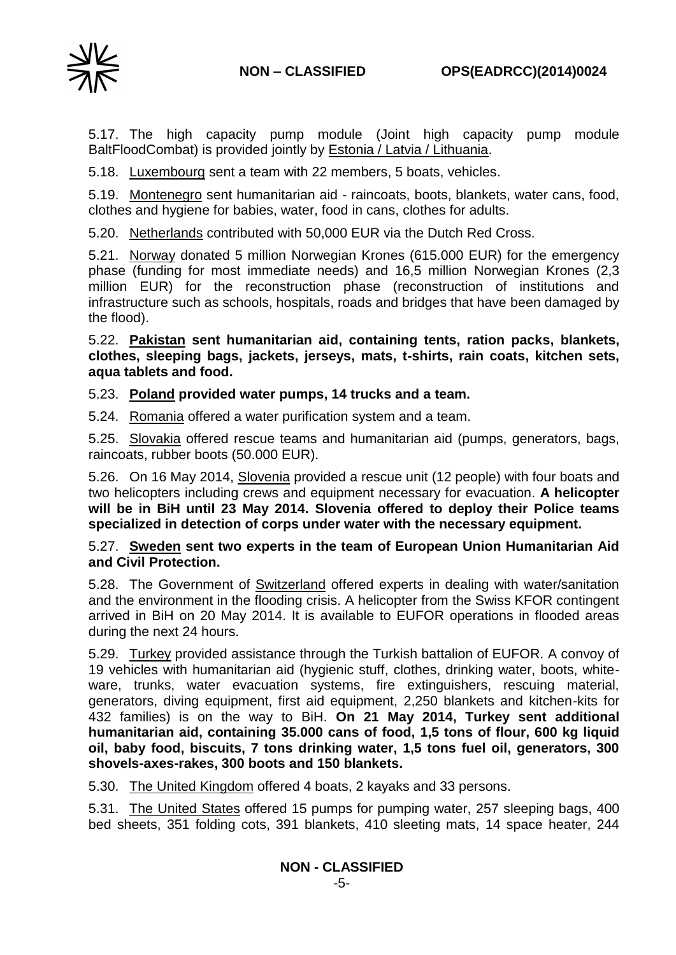

5.17. The high capacity pump module (Joint high capacity pump module BaltFloodCombat) is provided jointly by Estonia / Latvia / Lithuania.

5.18. Luxembourg sent a team with 22 members, 5 boats, vehicles.

5.19. Montenegro sent humanitarian aid - raincoats, boots, blankets, water cans, food, clothes and hygiene for babies, water, food in cans, clothes for adults.

5.20. Netherlands contributed with 50,000 EUR via the Dutch Red Cross.

5.21. Norway donated 5 million Norwegian Krones (615.000 EUR) for the emergency phase (funding for most immediate needs) and 16,5 million Norwegian Krones (2,3 million EUR) for the reconstruction phase (reconstruction of institutions and infrastructure such as schools, hospitals, roads and bridges that have been damaged by the flood).

5.22. **Pakistan sent humanitarian aid, containing tents, ration packs, blankets, clothes, sleeping bags, jackets, jerseys, mats, t-shirts, rain coats, kitchen sets, aqua tablets and food.**

5.23. **Poland provided water pumps, 14 trucks and a team.**

5.24. Romania offered a water purification system and a team.

5.25. Slovakia offered rescue teams and humanitarian aid (pumps, generators, bags, raincoats, rubber boots (50.000 EUR).

5.26. On 16 May 2014, Slovenia provided a rescue unit (12 people) with four boats and two helicopters including crews and equipment necessary for evacuation. **A helicopter will be in BiH until 23 May 2014. Slovenia offered to deploy their Police teams specialized in detection of corps under water with the necessary equipment.**

## 5.27. **Sweden sent two experts in the team of European Union Humanitarian Aid and Civil Protection.**

5.28. The Government of Switzerland offered experts in dealing with water/sanitation and the environment in the flooding crisis. A helicopter from the Swiss KFOR contingent arrived in BiH on 20 May 2014. It is available to EUFOR operations in flooded areas during the next 24 hours.

5.29. Turkey provided assistance through the Turkish battalion of EUFOR. A convoy of 19 vehicles with humanitarian aid (hygienic stuff, clothes, drinking water, boots, whiteware, trunks, water evacuation systems, fire extinguishers, rescuing material, generators, diving equipment, first aid equipment, 2,250 blankets and kitchen-kits for 432 families) is on the way to BiH. **On 21 May 2014, Turkey sent additional humanitarian aid, containing 35.000 cans of food, 1,5 tons of flour, 600 kg liquid oil, baby food, biscuits, 7 tons drinking water, 1,5 tons fuel oil, generators, 300 shovels-axes-rakes, 300 boots and 150 blankets.**

5.30. The United Kingdom offered 4 boats, 2 kayaks and 33 persons.

5.31. The United States offered 15 pumps for pumping water, 257 sleeping bags, 400 bed sheets, 351 folding cots, 391 blankets, 410 sleeting mats, 14 space heater, 244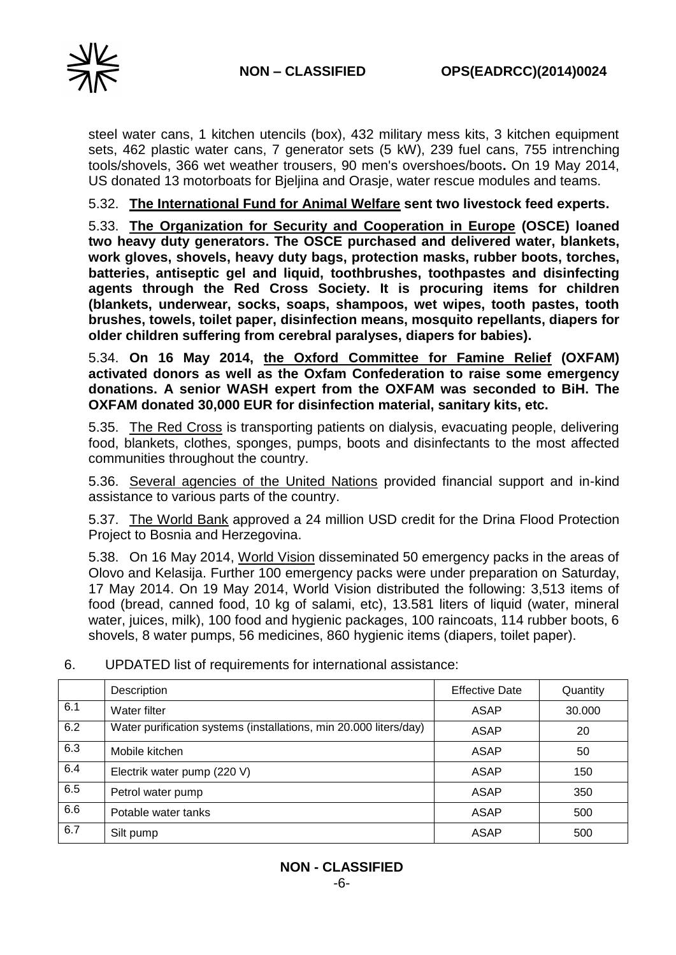

steel water cans, 1 kitchen utencils (box), 432 military mess kits, 3 kitchen equipment sets, 462 plastic water cans, 7 generator sets (5 kW), 239 fuel cans, 755 intrenching tools/shovels, 366 wet weather trousers, 90 men's overshoes/boots**.** On 19 May 2014, US donated 13 motorboats for Bjeljina and Orasje, water rescue modules and teams.

5.32. **The International Fund for Animal Welfare sent two livestock feed experts.**

5.33. **The Organization for Security and Cooperation in Europe (OSCE) loaned two heavy duty generators. The OSCE purchased and delivered water, blankets, work gloves, shovels, heavy duty bags, protection masks, rubber boots, torches, batteries, antiseptic gel and liquid, toothbrushes, toothpastes and disinfecting agents through the Red Cross Society. It is procuring items for children (blankets, underwear, socks, soaps, shampoos, wet wipes, tooth pastes, tooth brushes, towels, toilet paper, disinfection means, mosquito repellants, diapers for older children suffering from cerebral paralyses, diapers for babies).** 

5.34. **On 16 May 2014, the Oxford Committee for Famine Relief (OXFAM) activated donors as well as the Oxfam Confederation to raise some emergency donations. A senior WASH expert from the OXFAM was seconded to BiH. The OXFAM donated 30,000 EUR for disinfection material, sanitary kits, etc.**

5.35. The Red Cross is transporting patients on dialysis, evacuating people, delivering food, blankets, clothes, sponges, pumps, boots and disinfectants to the most affected communities throughout the country.

5.36. Several agencies of the United Nations provided financial support and in-kind assistance to various parts of the country.

5.37. The World Bank approved a 24 million USD credit for the Drina Flood Protection Project to Bosnia and Herzegovina.

5.38. On 16 May 2014, World Vision disseminated 50 emergency packs in the areas of Olovo and Kelasija. Further 100 emergency packs were under preparation on Saturday, 17 May 2014. On 19 May 2014, World Vision distributed the following: 3,513 items of food (bread, canned food, 10 kg of salami, etc), 13.581 liters of liquid (water, mineral water, juices, milk), 100 food and hygienic packages, 100 raincoats, 114 rubber boots, 6 shovels, 8 water pumps, 56 medicines, 860 hygienic items (diapers, toilet paper).

|     | Description                                                       | <b>Effective Date</b> | Quantity |
|-----|-------------------------------------------------------------------|-----------------------|----------|
| 6.1 | Water filter                                                      | ASAP                  | 30.000   |
| 6.2 | Water purification systems (installations, min 20.000 liters/day) | ASAP                  | 20       |
| 6.3 | Mobile kitchen                                                    | <b>ASAP</b>           | 50       |
| 6.4 | Electrik water pump (220 V)                                       | <b>ASAP</b>           | 150      |
| 6.5 | Petrol water pump                                                 | <b>ASAP</b>           | 350      |
| 6.6 | Potable water tanks                                               | <b>ASAP</b>           | 500      |
| 6.7 | Silt pump                                                         | <b>ASAP</b>           | 500      |

6. UPDATED list of requirements for international assistance: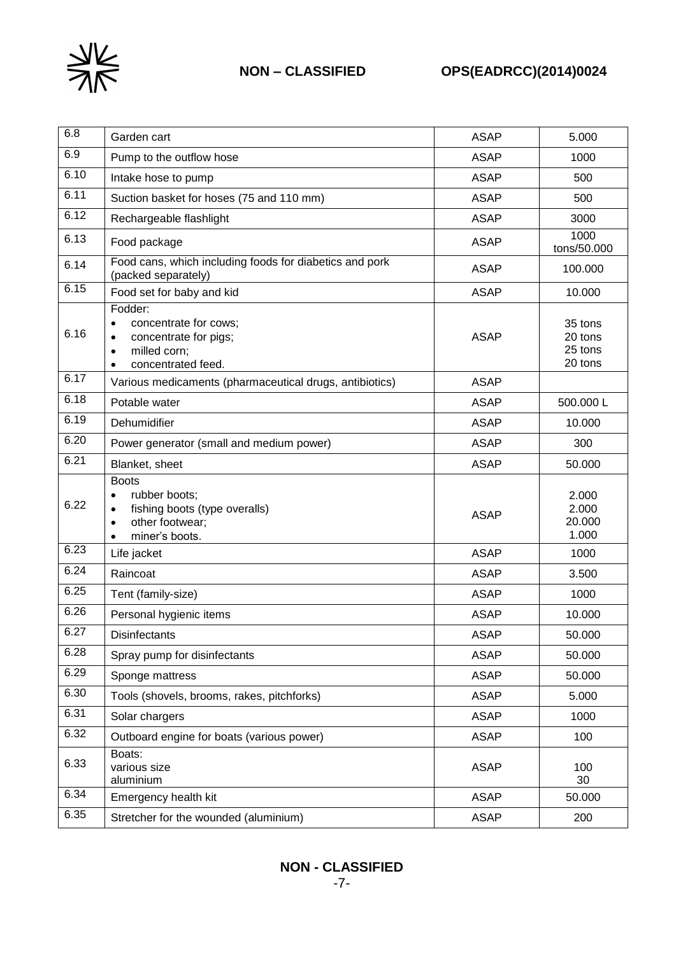

| 6.8  | Garden cart                                                                                                                            | <b>ASAP</b> | 5.000                                    |
|------|----------------------------------------------------------------------------------------------------------------------------------------|-------------|------------------------------------------|
| 6.9  | Pump to the outflow hose                                                                                                               | <b>ASAP</b> | 1000                                     |
| 6.10 | Intake hose to pump                                                                                                                    | <b>ASAP</b> | 500                                      |
| 6.11 | Suction basket for hoses (75 and 110 mm)                                                                                               | <b>ASAP</b> | 500                                      |
| 6.12 | Rechargeable flashlight                                                                                                                | <b>ASAP</b> | 3000                                     |
| 6.13 | Food package                                                                                                                           | <b>ASAP</b> | 1000<br>tons/50.000                      |
| 6.14 | Food cans, which including foods for diabetics and pork<br>(packed separately)                                                         | <b>ASAP</b> | 100.000                                  |
| 6.15 | Food set for baby and kid                                                                                                              | <b>ASAP</b> | 10.000                                   |
| 6.16 | Fodder:<br>concentrate for cows;<br>$\bullet$<br>concentrate for pigs;<br>$\bullet$<br>milled corn;<br>$\bullet$<br>concentrated feed. | <b>ASAP</b> | 35 tons<br>20 tons<br>25 tons<br>20 tons |
| 6.17 | Various medicaments (pharmaceutical drugs, antibiotics)                                                                                | <b>ASAP</b> |                                          |
| 6.18 | Potable water                                                                                                                          | <b>ASAP</b> | 500.000L                                 |
| 6.19 | Dehumidifier                                                                                                                           | <b>ASAP</b> | 10.000                                   |
| 6.20 | Power generator (small and medium power)                                                                                               | <b>ASAP</b> | 300                                      |
| 6.21 | Blanket, sheet                                                                                                                         | <b>ASAP</b> | 50.000                                   |
| 6.22 | <b>Boots</b><br>rubber boots;<br>fishing boots (type overalls)<br>other footwear;<br>$\bullet$<br>miner's boots.                       | <b>ASAP</b> | 2.000<br>2.000<br>20.000<br>1.000        |
| 6.23 | Life jacket                                                                                                                            | <b>ASAP</b> | 1000                                     |
| 6.24 | Raincoat                                                                                                                               | <b>ASAP</b> | 3.500                                    |
| 6.25 | Tent (family-size)                                                                                                                     | <b>ASAP</b> | 1000                                     |
| 6.26 | Personal hygienic items                                                                                                                | <b>ASAP</b> | 10.000                                   |
| 6.27 | Disinfectants                                                                                                                          | <b>ASAP</b> | 50.000                                   |
| 6.28 | Spray pump for disinfectants                                                                                                           | <b>ASAP</b> | 50.000                                   |
| 6.29 | Sponge mattress                                                                                                                        | <b>ASAP</b> | 50.000                                   |
| 6.30 | Tools (shovels, brooms, rakes, pitchforks)                                                                                             | <b>ASAP</b> | 5.000                                    |
| 6.31 | Solar chargers                                                                                                                         | <b>ASAP</b> | 1000                                     |
| 6.32 | Outboard engine for boats (various power)                                                                                              | <b>ASAP</b> | 100                                      |
| 6.33 | Boats:<br>various size<br>aluminium                                                                                                    | <b>ASAP</b> | 100<br>30                                |
| 6.34 | Emergency health kit                                                                                                                   | <b>ASAP</b> | 50.000                                   |
| 6.35 | Stretcher for the wounded (aluminium)                                                                                                  | <b>ASAP</b> | 200                                      |

# **NON - CLASSIFIED**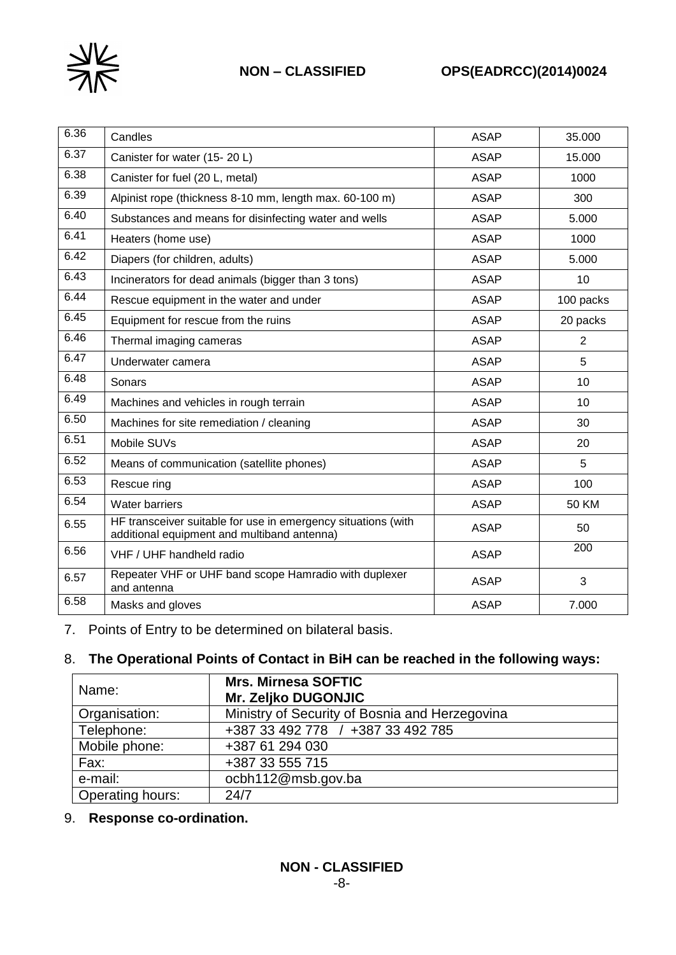

# **NON – CLASSIFIED OPS(EADRCC)(2014)0024**

| 6.36 | Candles                                                                                                      | <b>ASAP</b> | 35.000       |
|------|--------------------------------------------------------------------------------------------------------------|-------------|--------------|
| 6.37 | Canister for water (15-20 L)                                                                                 | <b>ASAP</b> | 15.000       |
| 6.38 | Canister for fuel (20 L, metal)                                                                              | <b>ASAP</b> | 1000         |
| 6.39 | Alpinist rope (thickness 8-10 mm, length max. 60-100 m)                                                      | <b>ASAP</b> | 300          |
| 6.40 | Substances and means for disinfecting water and wells                                                        | <b>ASAP</b> | 5.000        |
| 6.41 | Heaters (home use)                                                                                           | <b>ASAP</b> | 1000         |
| 6.42 | Diapers (for children, adults)                                                                               | <b>ASAP</b> | 5.000        |
| 6.43 | Incinerators for dead animals (bigger than 3 tons)                                                           | <b>ASAP</b> | 10           |
| 6.44 | Rescue equipment in the water and under                                                                      | <b>ASAP</b> | 100 packs    |
| 6.45 | Equipment for rescue from the ruins                                                                          | <b>ASAP</b> | 20 packs     |
| 6.46 | Thermal imaging cameras                                                                                      | <b>ASAP</b> | 2            |
| 6.47 | Underwater camera                                                                                            | <b>ASAP</b> | 5            |
| 6.48 | Sonars                                                                                                       | <b>ASAP</b> | 10           |
| 6.49 | Machines and vehicles in rough terrain                                                                       | <b>ASAP</b> | 10           |
| 6.50 | Machines for site remediation / cleaning                                                                     | <b>ASAP</b> | 30           |
| 6.51 | Mobile SUVs                                                                                                  | <b>ASAP</b> | 20           |
| 6.52 | Means of communication (satellite phones)                                                                    | <b>ASAP</b> | 5            |
| 6.53 | Rescue ring                                                                                                  | <b>ASAP</b> | 100          |
| 6.54 | <b>Water barriers</b>                                                                                        | <b>ASAP</b> | <b>50 KM</b> |
| 6.55 | HF transceiver suitable for use in emergency situations (with<br>additional equipment and multiband antenna) | <b>ASAP</b> | 50           |
| 6.56 | VHF / UHF handheld radio                                                                                     | <b>ASAP</b> | 200          |
| 6.57 | Repeater VHF or UHF band scope Hamradio with duplexer<br>and antenna                                         | <b>ASAP</b> | 3            |
| 6.58 | Masks and gloves                                                                                             | <b>ASAP</b> | 7.000        |

7. Points of Entry to be determined on bilateral basis.

# 8. **The Operational Points of Contact in BiH can be reached in the following ways:**

| Name:            | <b>Mrs. Mirnesa SOFTIC</b><br>Mr. Zeljko DUGONJIC |
|------------------|---------------------------------------------------|
| Organisation:    | Ministry of Security of Bosnia and Herzegovina    |
| Telephone:       | +387 33 492 778 / +387 33 492 785                 |
| Mobile phone:    | +387 61 294 030                                   |
| Fax:             | +387 33 555 715                                   |
| e-mail:          | ocbh112@msb.gov.ba                                |
| Operating hours: | 24/7                                              |

# 9. **Response co-ordination.**